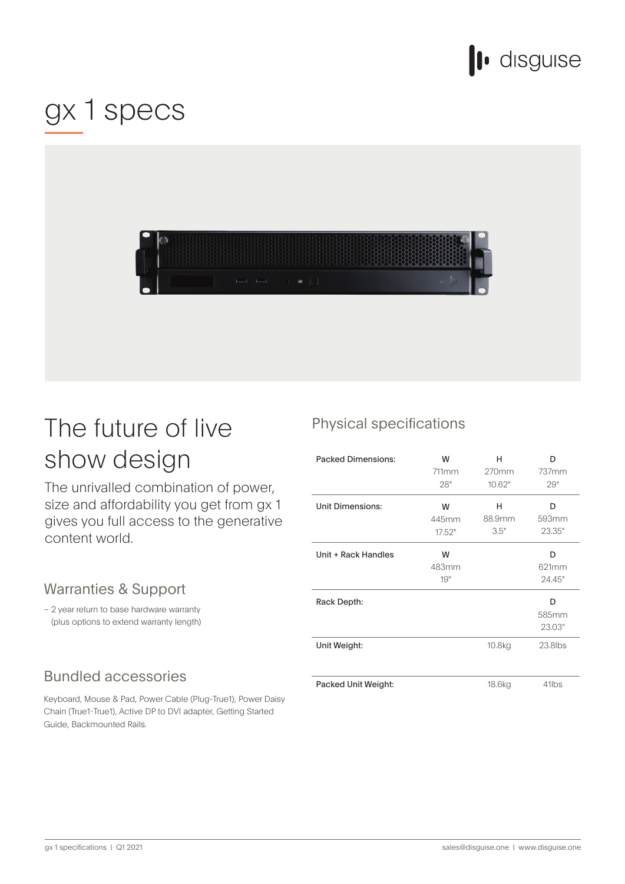

## gx 1 specs



## The future of live show design

The unrivalled combination of power, size and affordability you get from gx 1 gives you full access to the generative content world.

#### Warranties & Support

- 2 year return to base hardware warranty (plus options to extend warranty length)

#### **Bundled accessories**

Keyboard, Mouse & Pad, Power Cable (Plug-True1), Power Daisy Chain (True1-True1), Active DP to DVI adapter, Getting Started Guide, Backmounted Rails.

#### Physical specifications

| <b>Packed Dimensions:</b> | W<br>711mm<br>28"    | н<br>270mm<br>10.62" | n<br>737mm<br>29"    |
|---------------------------|----------------------|----------------------|----------------------|
| <b>Unit Dimensions:</b>   | W<br>445mm<br>17.52" | н<br>88.9mm<br>3.5"  | n<br>593mm<br>23.35" |
| Unit + Rack Handles       | W<br>483mm<br>19"    |                      | D<br>621mm<br>24.45" |
| Rack Depth:               |                      |                      | D<br>585mm<br>23.03" |
| Unit Weight:              |                      | 10.8kg               | 23.8lbs              |
| Packed Unit Weight:       |                      | 18.6kg               | 41lbs                |